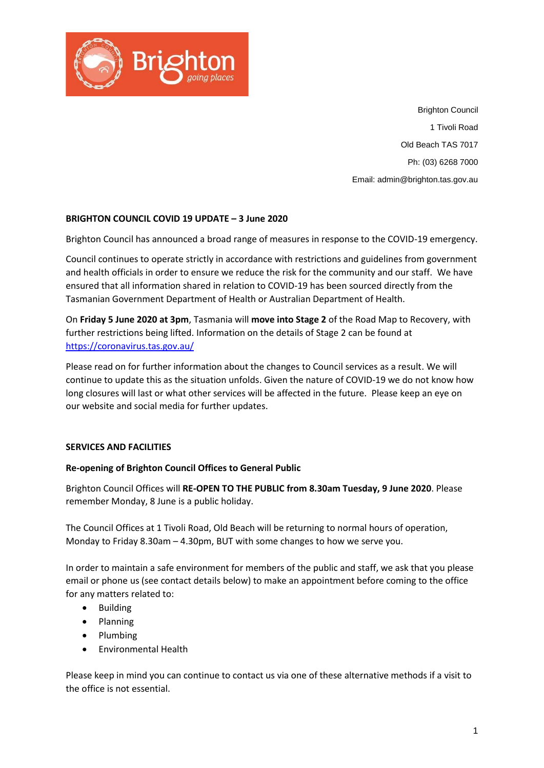

Brighton Council 1 Tivoli Road Old Beach TAS 7017 Ph: (03) 6268 7000 Email: admin@brighton.tas.gov.au

## **BRIGHTON COUNCIL COVID 19 UPDATE – 3 June 2020**

Brighton Council has announced a broad range of measures in response to the COVID-19 emergency.

Council continues to operate strictly in accordance with restrictions and guidelines from government and health officials in order to ensure we reduce the risk for the community and our staff. We have ensured that all information shared in relation to COVID-19 has been sourced directly from the Tasmanian Government Department of Health or Australian Department of Health.

On **Friday 5 June 2020 at 3pm**, Tasmania will **move into Stage 2** of the Road Map to Recovery, with further restrictions being lifted. Information on the details of Stage 2 can be found at <https://coronavirus.tas.gov.au/>

Please read on for further information about the changes to Council services as a result. We will continue to update this as the situation unfolds. Given the nature of COVID-19 we do not know how long closures will last or what other services will be affected in the future. Please keep an eye on our website and social media for further updates.

### **SERVICES AND FACILITIES**

### **Re-opening of Brighton Council Offices to General Public**

Brighton Council Offices will **RE-OPEN TO THE PUBLIC from 8.30am Tuesday, 9 June 2020**. Please remember Monday, 8 June is a public holiday.

The Council Offices at 1 Tivoli Road, Old Beach will be returning to normal hours of operation, Monday to Friday 8.30am – 4.30pm, BUT with some changes to how we serve you.

In order to maintain a safe environment for members of the public and staff, we ask that you please email or phone us (see contact details below) to make an appointment before coming to the office for any matters related to:

- Building
- Planning
- Plumbing
- Environmental Health

Please keep in mind you can continue to contact us via one of these alternative methods if a visit to the office is not essential.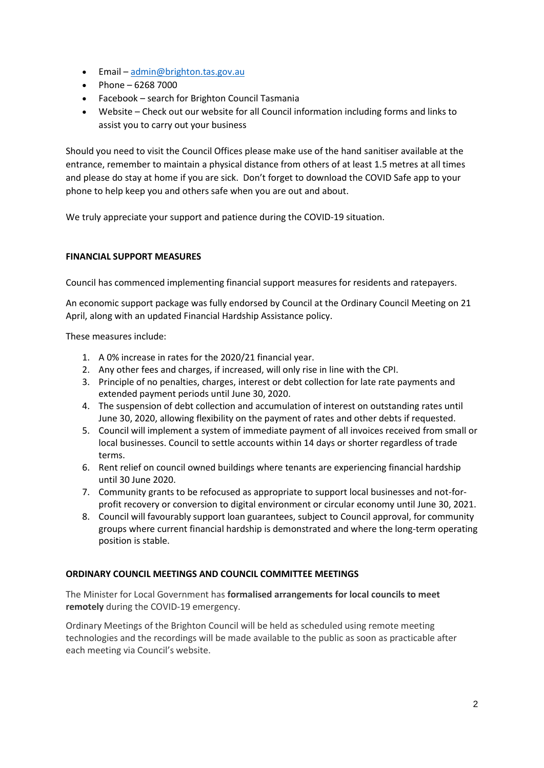- Email [admin@brighton.tas.gov.au](mailto:admin@brighton.tas.gov.au)
- Phone 6268 7000
- Facebook search for Brighton Council Tasmania
- Website Check out our website for all Council information including forms and links to assist you to carry out your business

Should you need to visit the Council Offices please make use of the hand sanitiser available at the entrance, remember to maintain a physical distance from others of at least 1.5 metres at all times and please do stay at home if you are sick. Don't forget to download the COVID Safe app to your phone to help keep you and others safe when you are out and about.

We truly appreciate your support and patience during the COVID-19 situation.

# **FINANCIAL SUPPORT MEASURES**

Council has commenced implementing financial support measures for residents and ratepayers.

An economic support package was fully endorsed by Council at the Ordinary Council Meeting on 21 April, along with an updated Financial Hardship Assistance policy.

These measures include:

- 1. A 0% increase in rates for the 2020/21 financial year.
- 2. Any other fees and charges, if increased, will only rise in line with the CPI.
- 3. Principle of no penalties, charges, interest or debt collection for late rate payments and extended payment periods until June 30, 2020.
- 4. The suspension of debt collection and accumulation of interest on outstanding rates until June 30, 2020, allowing flexibility on the payment of rates and other debts if requested.
- 5. Council will implement a system of immediate payment of all invoices received from small or local businesses. Council to settle accounts within 14 days or shorter regardless of trade terms.
- 6. Rent relief on council owned buildings where tenants are experiencing financial hardship until 30 June 2020.
- 7. Community grants to be refocused as appropriate to support local businesses and not-forprofit recovery or conversion to digital environment or circular economy until June 30, 2021.
- 8. Council will favourably support loan guarantees, subject to Council approval, for community groups where current financial hardship is demonstrated and where the long-term operating position is stable.

### **ORDINARY COUNCIL MEETINGS AND COUNCIL COMMITTEE MEETINGS**

The Minister for Local Government has **formalised arrangements for local councils to meet remotely** during the COVID-19 emergency.

Ordinary Meetings of the Brighton Council will be held as scheduled using remote meeting technologies and the recordings will be made available to the public as soon as practicable after each meeting via Council's website.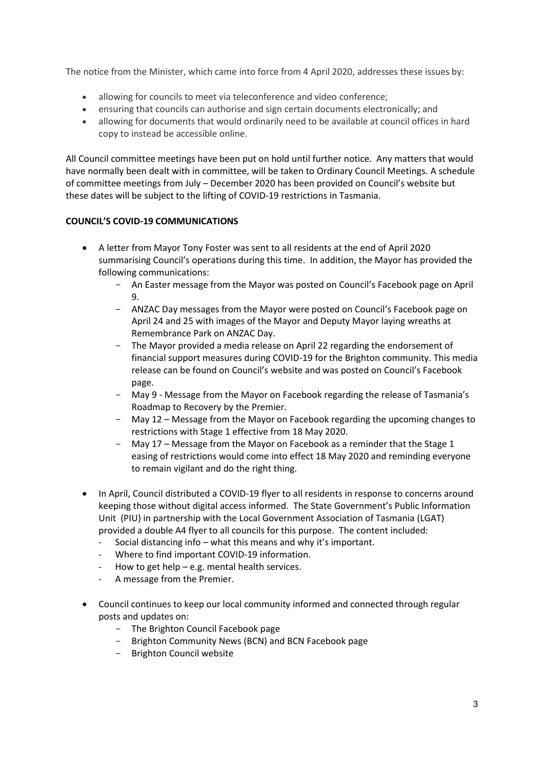The notice from the Minister, which came into force from 4 April 2020, addresses these issues by:

- allowing for councils to meet via teleconference and video conference;
- ensuring that councils can authorise and sign certain documents electronically; and
- allowing for documents that would ordinarily need to be available at council offices in hard copy to instead be accessible online.

All Council committee meetings have been put on hold until further notice. Any matters that would have normally been dealt with in committee, will be taken to Ordinary Council Meetings. A schedule of committee meetings from July – December 2020 has been provided on Council's website but these dates will be subject to the lifting of COVID-19 restrictions in Tasmania.

## **COUNCIL'S COVID-19 COMMUNICATIONS**

- A letter from Mayor Tony Foster was sent to all residents at the end of April 2020 summarising Council's operations during this time. In addition, the Mayor has provided the following communications:
	- An Easter message from the Mayor was posted on Council's Facebook page on April 9.
	- ANZAC Day messages from the Mayor were posted on Council's Facebook page on April 24 and 25 with images of the Mayor and Deputy Mayor laying wreaths at Remembrance Park on ANZAC Day.
	- The Mayor provided a media release on April 22 regarding the endorsement of financial support measures during COVID-19 for the Brighton community. This media release can be found on Council's website and was posted on Council's Facebook page.
	- May 9 Message from the Mayor on Facebook regarding the release of Tasmania's Roadmap to Recovery by the Premier.
	- May 12 Message from the Mayor on Facebook regarding the upcoming changes to restrictions with Stage 1 effective from 18 May 2020.
	- May 17 Message from the Mayor on Facebook as a reminder that the Stage 1 easing of restrictions would come into effect 18 May 2020 and reminding everyone to remain vigilant and do the right thing.
- In April, Council distributed a COVID-19 flyer to all residents in response to concerns around keeping those without digital access informed. The State Government's Public Information Unit (PIU) in partnership with the Local Government Association of Tasmania (LGAT) provided a double A4 flyer to all councils for this purpose. The content included:
	- Social distancing info what this means and why it's important.
	- Where to find important COVID-19 information.
	- How to get help e.g. mental health services.
	- A message from the Premier.
- Council continues to keep our local community informed and connected through regular posts and updates on:
	- The Brighton Council Facebook page
	- Brighton Community News (BCN) and BCN Facebook page
	- Brighton Council website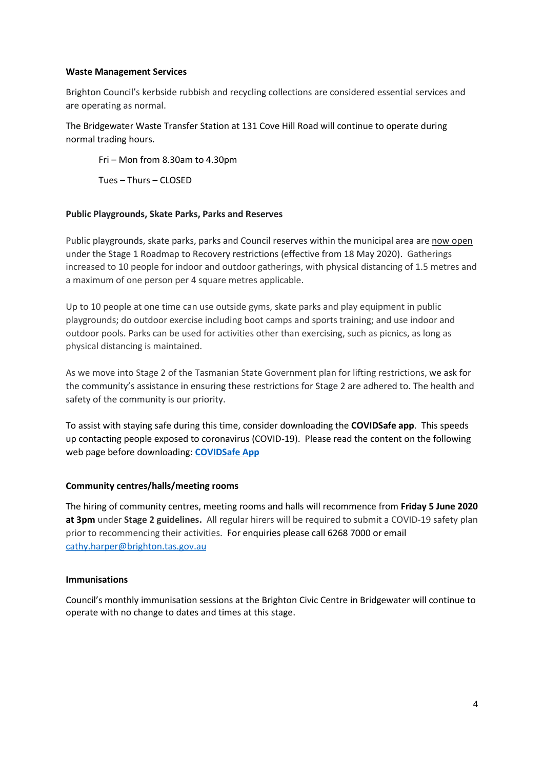### **Waste Management Services**

Brighton Council's kerbside rubbish and recycling collections are considered essential services and are operating as normal.

The Bridgewater Waste Transfer Station at 131 Cove Hill Road will continue to operate during normal trading hours.

Fri – Mon from 8.30am to 4.30pm

Tues – Thurs – CLOSED

### **Public Playgrounds, Skate Parks, Parks and Reserves**

Public playgrounds, skate parks, parks and Council reserves within the municipal area are now open under the Stage 1 Roadmap to Recovery restrictions (effective from 18 May 2020). Gatherings increased to 10 people for indoor and outdoor gatherings, with physical distancing of 1.5 metres and a maximum of one person per 4 square metres applicable.

Up to 10 people at one time can use outside gyms, skate parks and play equipment in public playgrounds; do outdoor exercise including boot camps and sports training; and use indoor and outdoor pools. Parks can be used for activities other than exercising, such as picnics, as long as physical distancing is maintained.

As we move into Stage 2 of the Tasmanian State Government plan for lifting restrictions, we ask for the community's assistance in ensuring these restrictions for Stage 2 are adhered to. The health and safety of the community is our priority.

To assist with staying safe during this time, consider downloading the **COVIDSafe app**. This speeds up contacting people exposed to coronavirus (COVID-19). Please read the content on the following web page before downloading: **[COVIDSafe App](https://www.health.gov.au/resources/apps-and-tools/covidsafe-app)**

### **Community centres/halls/meeting rooms**

The hiring of community centres, meeting rooms and halls will recommence from **Friday 5 June 2020 at 3pm** under **Stage 2 guidelines.** All regular hirers will be required to submit a COVID-19 safety plan prior to recommencing their activities. For enquiries please call 6268 7000 or email [cathy.harper@brighton.tas.gov.au](mailto:cathy.harper@brighton.tas.gov.au)

#### **Immunisations**

Council's monthly immunisation sessions at the Brighton Civic Centre in Bridgewater will continue to operate with no change to dates and times at this stage.